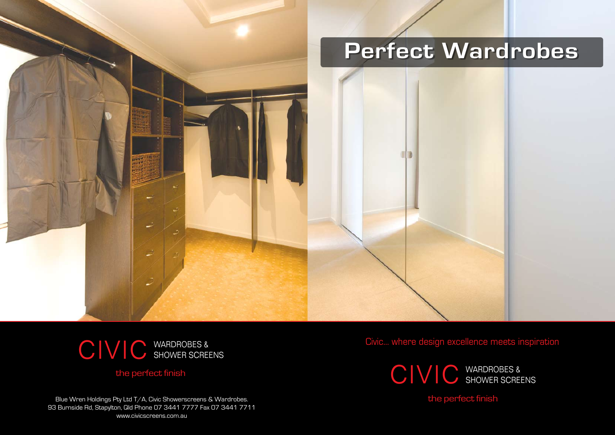

Civic... where design excellence meets inspiration

Blue Wren Holdings Pty Ltd T/A, Civic Showerscreens & Wardrobes. 93 Burnside Rd, Stapylton, Qld Phone 07 3441 7777 Fax 07 3441 7711 www.civicscreens.com.au

the perfect finish

## the perfect finish